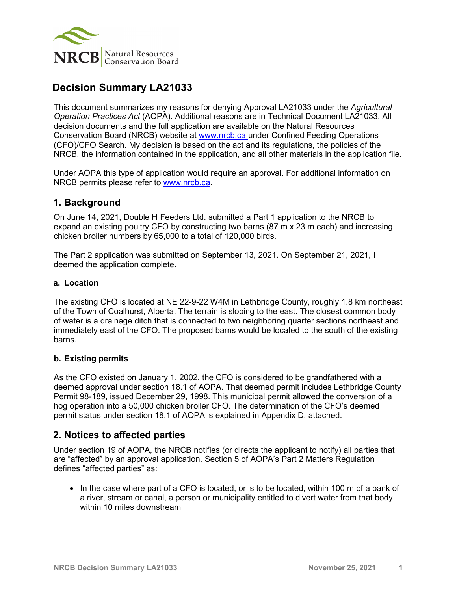

# **Decision Summary LA21033**

This document summarizes my reasons for denying Approval LA21033 under the *Agricultural Operation Practices Act* (AOPA). Additional reasons are in Technical Document LA21033. All decision documents and the full application are available on the Natural Resources Conservation Board (NRCB) website at [www.nrcb.ca](http://www.nrcb.ca/) under Confined Feeding Operations (CFO)/CFO Search. My decision is based on the act and its regulations, the policies of the NRCB, the information contained in the application, and all other materials in the application file.

Under AOPA this type of application would require an approval. For additional information on NRCB permits please refer to [www.nrcb.ca.](file://NRCB-File01/nosync/Application%20Form%20Review/Decision%20Summary%20Template%2027%20April%202020/www.nrcb.ca)

## **1. Background**

On June 14, 2021, Double H Feeders Ltd. submitted a Part 1 application to the NRCB to expand an existing poultry CFO by constructing two barns (87 m x 23 m each) and increasing chicken broiler numbers by 65,000 to a total of 120,000 birds.

The Part 2 application was submitted on September 13, 2021. On September 21, 2021, I deemed the application complete.

#### **a. Location**

The existing CFO is located at NE 22-9-22 W4M in Lethbridge County, roughly 1.8 km northeast of the Town of Coalhurst, Alberta. The terrain is sloping to the east. The closest common body of water is a drainage ditch that is connected to two neighboring quarter sections northeast and immediately east of the CFO. The proposed barns would be located to the south of the existing barns.

#### **b. Existing permits**

As the CFO existed on January 1, 2002, the CFO is considered to be grandfathered with a deemed approval under section 18.1 of AOPA. That deemed permit includes Lethbridge County Permit 98-189, issued December 29, 1998. This municipal permit allowed the conversion of a hog operation into a 50,000 chicken broiler CFO. The determination of the CFO's deemed permit status under section 18.1 of AOPA is explained in Appendix D, attached.

## **2. Notices to affected parties**

Under section 19 of AOPA, the NRCB notifies (or directs the applicant to notify) all parties that are "affected" by an approval application. Section 5 of AOPA's Part 2 Matters Regulation defines "affected parties" as:

• In the case where part of a CFO is located, or is to be located, within 100 m of a bank of a river, stream or canal, a person or municipality entitled to divert water from that body within 10 miles downstream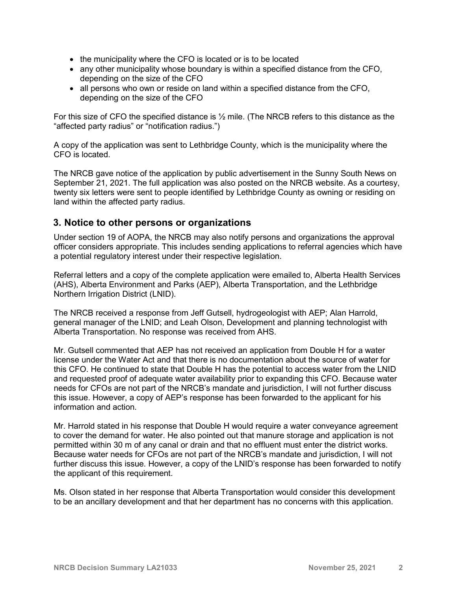- the municipality where the CFO is located or is to be located
- any other municipality whose boundary is within a specified distance from the CFO, depending on the size of the CFO
- all persons who own or reside on land within a specified distance from the CFO, depending on the size of the CFO

For this size of CFO the specified distance is ½ mile. (The NRCB refers to this distance as the "affected party radius" or "notification radius.")

A copy of the application was sent to Lethbridge County, which is the municipality where the CFO is located.

The NRCB gave notice of the application by public advertisement in the Sunny South News on September 21, 2021. The full application was also posted on the NRCB website. As a courtesy, twenty six letters were sent to people identified by Lethbridge County as owning or residing on land within the affected party radius.

### **3. Notice to other persons or organizations**

Under section 19 of AOPA, the NRCB may also notify persons and organizations the approval officer considers appropriate. This includes sending applications to referral agencies which have a potential regulatory interest under their respective legislation.

Referral letters and a copy of the complete application were emailed to, Alberta Health Services (AHS), Alberta Environment and Parks (AEP), Alberta Transportation, and the Lethbridge Northern Irrigation District (LNID).

The NRCB received a response from Jeff Gutsell, hydrogeologist with AEP; Alan Harrold, general manager of the LNID; and Leah Olson, Development and planning technologist with Alberta Transportation. No response was received from AHS.

Mr. Gutsell commented that AEP has not received an application from Double H for a water license under the Water Act and that there is no documentation about the source of water for this CFO. He continued to state that Double H has the potential to access water from the LNID and requested proof of adequate water availability prior to expanding this CFO. Because water needs for CFOs are not part of the NRCB's mandate and jurisdiction, I will not further discuss this issue. However, a copy of AEP's response has been forwarded to the applicant for his information and action.

Mr. Harrold stated in his response that Double H would require a water conveyance agreement to cover the demand for water. He also pointed out that manure storage and application is not permitted within 30 m of any canal or drain and that no effluent must enter the district works. Because water needs for CFOs are not part of the NRCB's mandate and jurisdiction, I will not further discuss this issue. However, a copy of the LNID's response has been forwarded to notify the applicant of this requirement.

Ms. Olson stated in her response that Alberta Transportation would consider this development to be an ancillary development and that her department has no concerns with this application.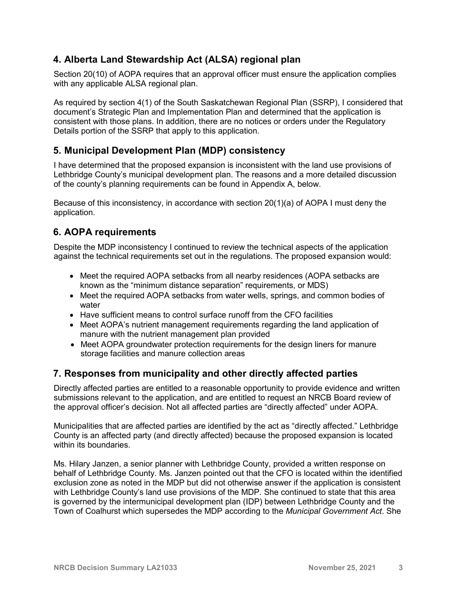# **4. Alberta Land Stewardship Act (ALSA) regional plan**

Section 20(10) of AOPA requires that an approval officer must ensure the application complies with any applicable ALSA regional plan.

As required by section 4(1) of the South Saskatchewan Regional Plan (SSRP), I considered that document's Strategic Plan and Implementation Plan and determined that the application is consistent with those plans. In addition, there are no notices or orders under the Regulatory Details portion of the SSRP that apply to this application.

# **5. Municipal Development Plan (MDP) consistency**

I have determined that the proposed expansion is inconsistent with the land use provisions of Lethbridge County's municipal development plan. The reasons and a more detailed discussion of the county's planning requirements can be found in Appendix A, below.

Because of this inconsistency, in accordance with section 20(1)(a) of AOPA I must deny the application.

# **6. AOPA requirements**

Despite the MDP inconsistency I continued to review the technical aspects of the application against the technical requirements set out in the regulations. The proposed expansion would:

- Meet the required AOPA setbacks from all nearby residences (AOPA setbacks are known as the "minimum distance separation" requirements, or MDS)
- Meet the required AOPA setbacks from water wells, springs, and common bodies of water
- Have sufficient means to control surface runoff from the CFO facilities
- Meet AOPA's nutrient management requirements regarding the land application of manure with the nutrient management plan provided
- Meet AOPA groundwater protection requirements for the design liners for manure storage facilities and manure collection areas

## **7. Responses from municipality and other directly affected parties**

Directly affected parties are entitled to a reasonable opportunity to provide evidence and written submissions relevant to the application, and are entitled to request an NRCB Board review of the approval officer's decision. Not all affected parties are "directly affected" under AOPA.

Municipalities that are affected parties are identified by the act as "directly affected." Lethbridge County is an affected party (and directly affected) because the proposed expansion is located within its boundaries.

Ms. Hilary Janzen, a senior planner with Lethbridge County, provided a written response on behalf of Lethbridge County. Ms. Janzen pointed out that the CFO is located within the identified exclusion zone as noted in the MDP but did not otherwise answer if the application is consistent with Lethbridge County's land use provisions of the MDP. She continued to state that this area is governed by the intermunicipal development plan (IDP) between Lethbridge County and the Town of Coalhurst which supersedes the MDP according to the *Municipal Government Act*. She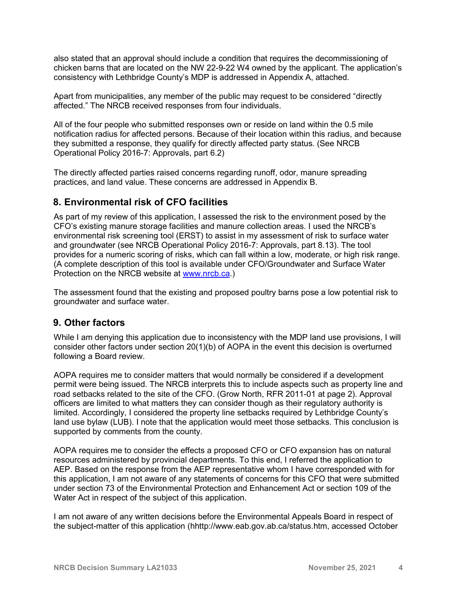also stated that an approval should include a condition that requires the decommissioning of chicken barns that are located on the NW 22-9-22 W4 owned by the applicant. The application's consistency with Lethbridge County's MDP is addressed in Appendix A, attached.

Apart from municipalities, any member of the public may request to be considered "directly affected." The NRCB received responses from four individuals.

All of the four people who submitted responses own or reside on land within the 0.5 mile notification radius for affected persons. Because of their location within this radius, and because they submitted a response, they qualify for directly affected party status. (See NRCB Operational Policy 2016-7: Approvals, part 6.2)

The directly affected parties raised concerns regarding runoff, odor, manure spreading practices, and land value. These concerns are addressed in Appendix B.

## **8. Environmental risk of CFO facilities**

As part of my review of this application, I assessed the risk to the environment posed by the CFO's existing manure storage facilities and manure collection areas. I used the NRCB's environmental risk screening tool (ERST) to assist in my assessment of risk to surface water and groundwater (see NRCB Operational Policy 2016-7: Approvals, part 8.13). The tool provides for a numeric scoring of risks, which can fall within a low, moderate, or high risk range. (A complete description of this tool is available under CFO/Groundwater and Surface Water Protection on the NRCB website at [www.nrcb.ca.](http://www.nrcb.ca/))

The assessment found that the existing and proposed poultry barns pose a low potential risk to groundwater and surface water.

## **9. Other factors**

While I am denying this application due to inconsistency with the MDP land use provisions, I will consider other factors under section 20(1)(b) of AOPA in the event this decision is overturned following a Board review.

AOPA requires me to consider matters that would normally be considered if a development permit were being issued. The NRCB interprets this to include aspects such as property line and road setbacks related to the site of the CFO. (Grow North, RFR 2011-01 at page 2). Approval officers are limited to what matters they can consider though as their regulatory authority is limited. Accordingly, I considered the property line setbacks required by Lethbridge County's land use bylaw (LUB). I note that the application would meet those setbacks. This conclusion is supported by comments from the county.

AOPA requires me to consider the effects a proposed CFO or CFO expansion has on natural resources administered by provincial departments. To this end, I referred the application to AEP. Based on the response from the AEP representative whom I have corresponded with for this application, I am not aware of any statements of concerns for this CFO that were submitted under section 73 of the Environmental Protection and Enhancement Act or section 109 of the Water Act in respect of the subject of this application.

I am not aware of any written decisions before the Environmental Appeals Board in respect of the subject-matter of this application (hhttp://www.eab.gov.ab.ca/status.htm, accessed October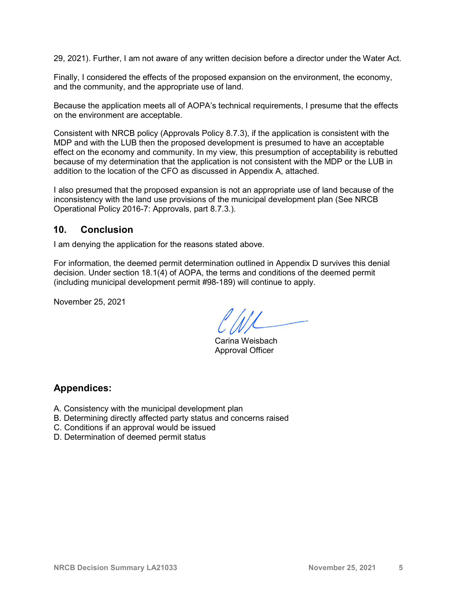29, 2021). Further, I am not aware of any written decision before a director under the Water Act.

Finally, I considered the effects of the proposed expansion on the environment, the economy, and the community, and the appropriate use of land.

Because the application meets all of AOPA's technical requirements, I presume that the effects on the environment are acceptable.

Consistent with NRCB policy (Approvals Policy 8.7.3), if the application is consistent with the MDP and with the LUB then the proposed development is presumed to have an acceptable effect on the economy and community. In my view, this presumption of acceptability is rebutted because of my determination that the application is not consistent with the MDP or the LUB in addition to the location of the CFO as discussed in Appendix A, attached.

I also presumed that the proposed expansion is not an appropriate use of land because of the inconsistency with the land use provisions of the municipal development plan (See NRCB Operational Policy 2016-7: Approvals, part 8.7.3.).

### **10. Conclusion**

I am denying the application for the reasons stated above.

For information, the deemed permit determination outlined in Appendix D survives this denial decision. Under section 18.1(4) of AOPA, the terms and conditions of the deemed permit (including municipal development permit #98-189) will continue to apply.

November 25, 2021

Carina Weisbach Approval Officer

## **Appendices:**

- A. Consistency with the municipal development plan
- B. Determining directly affected party status and concerns raised
- C. Conditions if an approval would be issued
- D. Determination of deemed permit status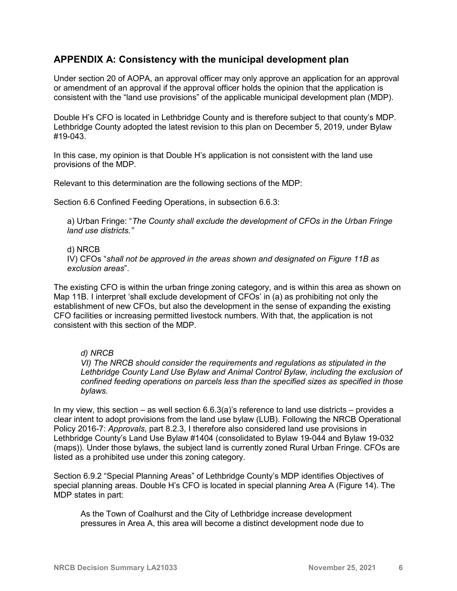## **APPENDIX A: Consistency with the municipal development plan**

Under section 20 of AOPA, an approval officer may only approve an application for an approval or amendment of an approval if the approval officer holds the opinion that the application is consistent with the "land use provisions" of the applicable municipal development plan (MDP).

Double H's CFO is located in Lethbridge County and is therefore subject to that county's MDP. Lethbridge County adopted the latest revision to this plan on December 5, 2019, under Bylaw #19-043.

In this case, my opinion is that Double H's application is not consistent with the land use provisions of the MDP.

Relevant to this determination are the following sections of the MDP:

Section 6.6 Confined Feeding Operations, in subsection 6.6.3:

a) Urban Fringe: "*The County shall exclude the development of CFOs in the Urban Fringe land use districts."*

#### d) NRCB

IV) CFOs "*shall not be approved in the areas shown and designated on Figure 11B as exclusion areas*".

The existing CFO is within the urban fringe zoning category, and is within this area as shown on Map 11B. I interpret 'shall exclude development of CFOs' in (a) as prohibiting not only the establishment of new CFOs, but also the development in the sense of expanding the existing CFO facilities or increasing permitted livestock numbers. With that, the application is not consistent with this section of the MDP.

#### *d) NRCB*

*VI) The NRCB should consider the requirements and regulations as stipulated in the Lethbridge County Land Use Bylaw and Animal Control Bylaw, including the exclusion of confined feeding operations on parcels less than the specified sizes as specified in those bylaws.*

In my view, this section – as well section  $6.6.3(a)$ 's reference to land use districts – provides a clear intent to adopt provisions from the land use bylaw (LUB). Following the NRCB Operational Policy 2016-7: *Approvals*, part 8.2.3, I therefore also considered land use provisions in Lethbridge County's Land Use Bylaw #1404 (consolidated to Bylaw 19-044 and Bylaw 19-032 (maps)). Under those bylaws, the subject land is currently zoned Rural Urban Fringe. CFOs are listed as a prohibited use under this zoning category.

Section 6.9.2 "Special Planning Areas" of Lethbridge County's MDP identifies Objectives of special planning areas. Double H's CFO is located in special planning Area A (Figure 14). The MDP states in part:

As the Town of Coalhurst and the City of Lethbridge increase development pressures in Area A, this area will become a distinct development node due to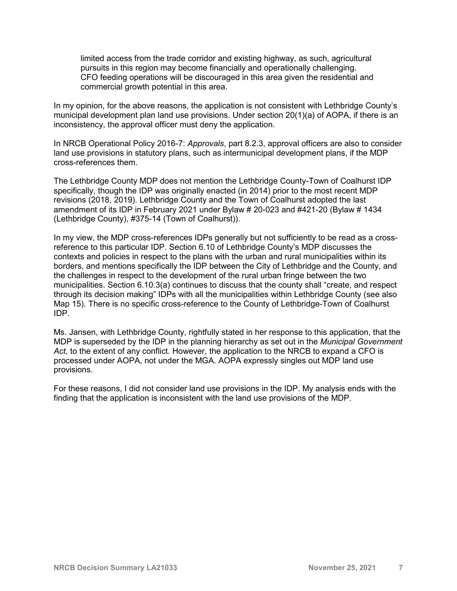limited access from the trade corridor and existing highway, as such, agricultural pursuits in this region may become financially and operationally challenging. CFO feeding operations will be discouraged in this area given the residential and commercial growth potential in this area.

In my opinion, for the above reasons, the application is not consistent with Lethbridge County's municipal development plan land use provisions. Under section 20(1)(a) of AOPA, if there is an inconsistency, the approval officer must deny the application.

In NRCB Operational Policy 2016-7: *Approvals*, part 8.2.3, approval officers are also to consider land use provisions in statutory plans, such as intermunicipal development plans, if the MDP cross-references them.

The Lethbridge County MDP does not mention the Lethbridge County-Town of Coalhurst IDP specifically, though the IDP was originally enacted (in 2014) prior to the most recent MDP revisions (2018, 2019). Lethbridge County and the Town of Coalhurst adopted the last amendment of its IDP in February 2021 under Bylaw # 20-023 and #421-20 (Bylaw # 1434 (Lethbridge County), #375-14 (Town of Coalhurst)).

In my view, the MDP cross-references IDPs generally but not sufficiently to be read as a crossreference to this particular IDP. Section 6.10 of Lethbridge County's MDP discusses the contexts and policies in respect to the plans with the urban and rural municipalities within its borders, and mentions specifically the IDP between the City of Lethbridge and the County, and the challenges in respect to the development of the rural urban fringe between the two municipalities. Section 6.10.3(a) continues to discuss that the county shall "create, and respect through its decision making" IDPs with all the municipalities within Lethbridge County (see also Map 15). There is no specific cross-reference to the County of Lethbridge-Town of Coalhurst IDP.

Ms. Jansen, with Lethbridge County, rightfully stated in her response to this application, that the MDP is superseded by the IDP in the planning hierarchy as set out in the *Municipal Government Act*, to the extent of any conflict*.* However, the application to the NRCB to expand a CFO is processed under AOPA, not under the MGA. AOPA expressly singles out MDP land use provisions.

For these reasons, I did not consider land use provisions in the IDP. My analysis ends with the finding that the application is inconsistent with the land use provisions of the MDP.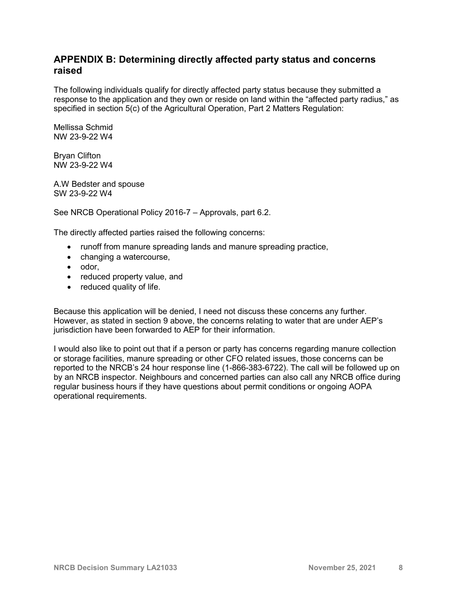## **APPENDIX B: Determining directly affected party status and concerns raised**

The following individuals qualify for directly affected party status because they submitted a response to the application and they own or reside on land within the "affected party radius," as specified in section 5(c) of the Agricultural Operation, Part 2 Matters Regulation:

Mellissa Schmid NW 23-9-22 W4

Bryan Clifton NW 23-9-22 W4

A.W Bedster and spouse SW 23-9-22 W4

See NRCB Operational Policy 2016-7 – Approvals, part 6.2.

The directly affected parties raised the following concerns:

- runoff from manure spreading lands and manure spreading practice,
- changing a watercourse,
- odor,
- reduced property value, and
- reduced quality of life.

Because this application will be denied, I need not discuss these concerns any further. However, as stated in section 9 above, the concerns relating to water that are under AEP's jurisdiction have been forwarded to AEP for their information.

I would also like to point out that if a person or party has concerns regarding manure collection or storage facilities, manure spreading or other CFO related issues, those concerns can be reported to the NRCB's 24 hour response line (1-866-383-6722). The call will be followed up on by an NRCB inspector. Neighbours and concerned parties can also call any NRCB office during regular business hours if they have questions about permit conditions or ongoing AOPA operational requirements.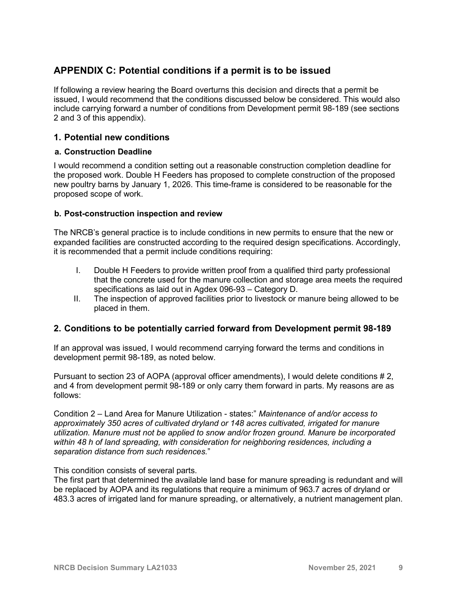# **APPENDIX C: Potential conditions if a permit is to be issued**

If following a review hearing the Board overturns this decision and directs that a permit be issued, I would recommend that the conditions discussed below be considered. This would also include carrying forward a number of conditions from Development permit 98-189 (see sections 2 and 3 of this appendix).

### **1. Potential new conditions**

#### **a. Construction Deadline**

I would recommend a condition setting out a reasonable construction completion deadline for the proposed work. Double H Feeders has proposed to complete construction of the proposed new poultry barns by January 1, 2026. This time-frame is considered to be reasonable for the proposed scope of work.

#### **b. Post-construction inspection and review**

The NRCB's general practice is to include conditions in new permits to ensure that the new or expanded facilities are constructed according to the required design specifications. Accordingly, it is recommended that a permit include conditions requiring:

- I. Double H Feeders to provide written proof from a qualified third party professional that the concrete used for the manure collection and storage area meets the required specifications as laid out in Agdex 096-93 – Category D.
- II. The inspection of approved facilities prior to livestock or manure being allowed to be placed in them.

#### **2. Conditions to be potentially carried forward from Development permit 98-189**

If an approval was issued, I would recommend carrying forward the terms and conditions in development permit 98-189, as noted below.

Pursuant to section 23 of AOPA (approval officer amendments), I would delete conditions # 2, and 4 from development permit 98-189 or only carry them forward in parts. My reasons are as follows:

Condition 2 – Land Area for Manure Utilization - states:" *Maintenance of and/or access to approximately 350 acres of cultivated dryland or 148 acres cultivated, irrigated for manure utilization. Manure must not be applied to snow and/or frozen ground. Manure be incorporated within 48 h of land spreading, with consideration for neighboring residences, including a separation distance from such residences.*"

This condition consists of several parts.

The first part that determined the available land base for manure spreading is redundant and will be replaced by AOPA and its regulations that require a minimum of 963.7 acres of dryland or 483.3 acres of irrigated land for manure spreading, or alternatively, a nutrient management plan.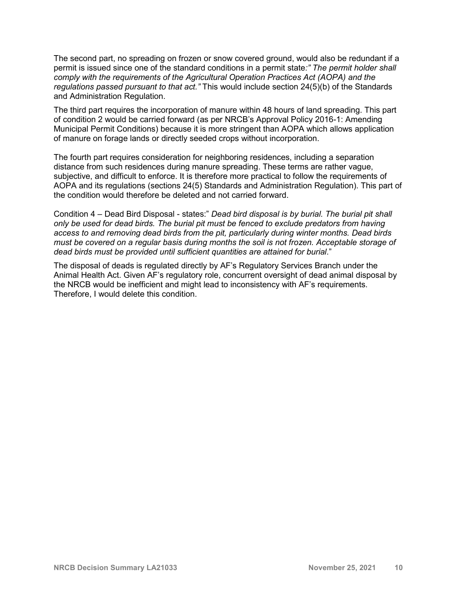The second part, no spreading on frozen or snow covered ground, would also be redundant if a permit is issued since one of the standard conditions in a permit state*:" The permit holder shall comply with the requirements of the Agricultural Operation Practices Act (AOPA) and the regulations passed pursuant to that act."* This would include section 24(5)(b) of the Standards and Administration Regulation.

The third part requires the incorporation of manure within 48 hours of land spreading. This part of condition 2 would be carried forward (as per NRCB's Approval Policy 2016-1: Amending Municipal Permit Conditions) because it is more stringent than AOPA which allows application of manure on forage lands or directly seeded crops without incorporation.

The fourth part requires consideration for neighboring residences, including a separation distance from such residences during manure spreading. These terms are rather vague, subjective, and difficult to enforce. It is therefore more practical to follow the requirements of AOPA and its regulations (sections 24(5) Standards and Administration Regulation). This part of the condition would therefore be deleted and not carried forward.

Condition 4 – Dead Bird Disposal - states:" *Dead bird disposal is by burial. The burial pit shall only be used for dead birds. The burial pit must be fenced to exclude predators from having access to and removing dead birds from the pit, particularly during winter months. Dead birds must be covered on a regular basis during months the soil is not frozen. Acceptable storage of dead birds must be provided until sufficient quantities are attained for burial*."

The disposal of deads is regulated directly by AF's Regulatory Services Branch under the Animal Health Act. Given AF's regulatory role, concurrent oversight of dead animal disposal by the NRCB would be inefficient and might lead to inconsistency with AF's requirements. Therefore, I would delete this condition.